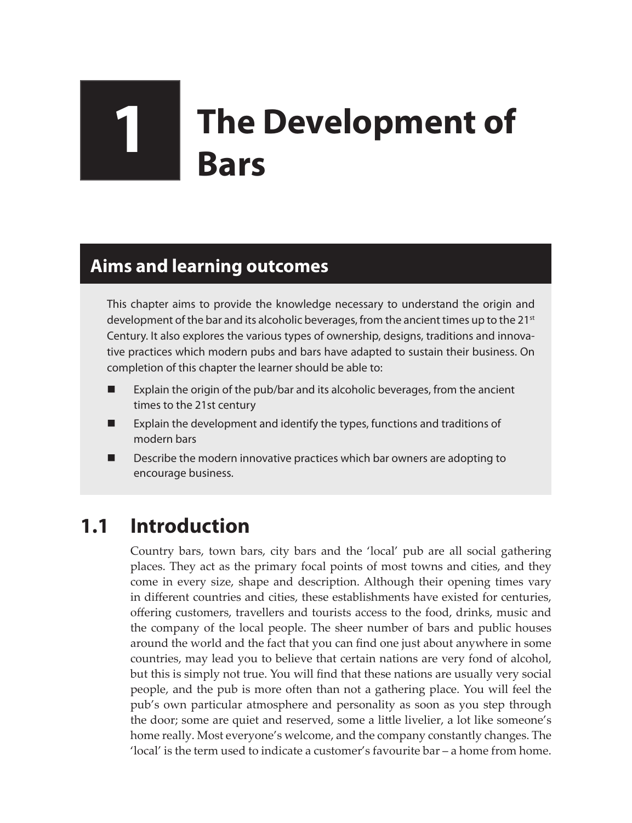# **1 The Development of Bars**

### **Aims and learning outcomes**

This chapter aims to provide the knowledge necessary to understand the origin and development of the bar and its alcoholic beverages, from the ancient times up to the  $21<sup>st</sup>$ Century. It also explores the various types of ownership, designs, traditions and innovative practices which modern pubs and bars have adapted to sustain their business. On completion of this chapter the learner should be able to:

- Explain the origin of the pub/bar and its alcoholic beverages, from the ancient times to the 21st century
- Explain the development and identify the types, functions and traditions of modern bars
- Describe the modern innovative practices which bar owners are adopting to encourage business.

# **1.1 Introduction**

Country bars, town bars, city bars and the 'local' pub are all social gathering places. They act as the primary focal points of most towns and cities, and they come in every size, shape and description. Although their opening times vary in different countries and cities, these establishments have existed for centuries, offering customers, travellers and tourists access to the food, drinks, music and the company of the local people. The sheer number of bars and public houses around the world and the fact that you can find one just about anywhere in some countries, may lead you to believe that certain nations are very fond of alcohol, but this is simply not true. You will find that these nations are usually very social people, and the pub is more often than not a gathering place. You will feel the pub's own particular atmosphere and personality as soon as you step through the door; some are quiet and reserved, some a little livelier, a lot like someone's home really. Most everyone's welcome, and the company constantly changes. The 'local' is the term used to indicate a customer's favourite bar – a home from home.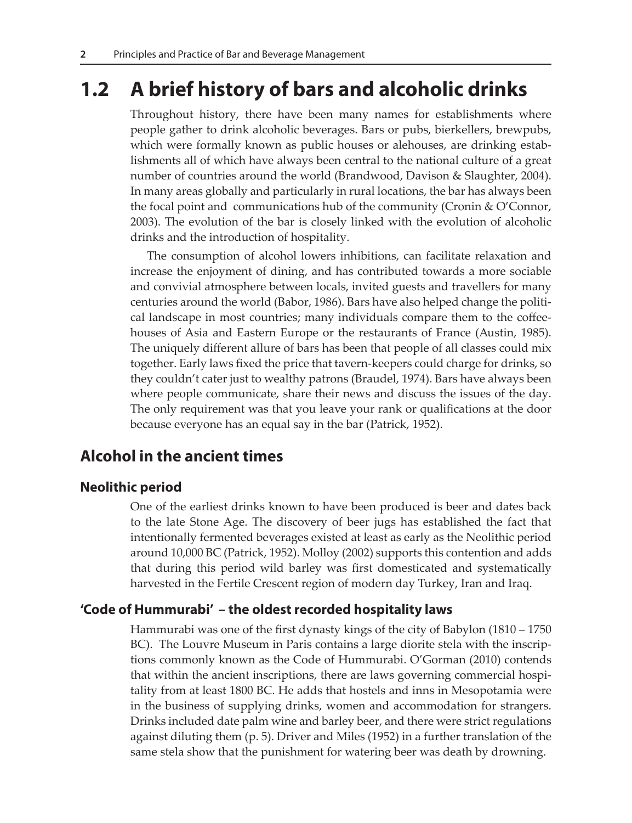## **1.2 A brief history of bars and alcoholic drinks**

Throughout history, there have been many names for establishments where people gather to drink alcoholic beverages. Bars or pubs, bierkellers, brewpubs, which were formally known as public houses or alehouses, are drinking establishments all of which have always been central to the national culture of a great number of countries around the world (Brandwood, Davison & Slaughter, 2004). In many areas globally and particularly in rural locations, the bar has always been the focal point and communications hub of the community (Cronin & O'Connor, 2003). The evolution of the bar is closely linked with the evolution of alcoholic drinks and the introduction of hospitality.

The consumption of alcohol lowers inhibitions, can facilitate relaxation and increase the enjoyment of dining, and has contributed towards a more sociable and convivial atmosphere between locals, invited guests and travellers for many centuries around the world (Babor, 1986). Bars have also helped change the political landscape in most countries; many individuals compare them to the coffeehouses of Asia and Eastern Europe or the restaurants of France (Austin, 1985). The uniquely different allure of bars has been that people of all classes could mix together. Early laws fixed the price that tavern-keepers could charge for drinks, so they couldn't cater just to wealthy patrons (Braudel, 1974). Bars have always been where people communicate, share their news and discuss the issues of the day. The only requirement was that you leave your rank or qualifications at the door because everyone has an equal say in the bar (Patrick, 1952).

#### **Alcohol in the ancient times**

#### **Neolithic period**

One of the earliest drinks known to have been produced is beer and dates back to the late Stone Age. The discovery of beer jugs has established the fact that intentionally fermented beverages existed at least as early as the Neolithic period around 10,000 BC (Patrick, 1952). Molloy (2002) supports this contention and adds that during this period wild barley was first domesticated and systematically harvested in the Fertile Crescent region of modern day Turkey, Iran and Iraq.

#### **'Code of Hummurabi' – the oldest recorded hospitality laws**

Hammurabi was one of the first dynasty kings of the city of Babylon (1810 – 1750 BC). The Louvre Museum in Paris contains a large diorite stela with the inscriptions commonly known as the Code of Hummurabi. O'Gorman (2010) contends that within the ancient inscriptions, there are laws governing commercial hospitality from at least 1800 BC. He adds that hostels and inns in Mesopotamia were in the business of supplying drinks, women and accommodation for strangers. Drinks included date palm wine and barley beer, and there were strict regulations against diluting them (p. 5). Driver and Miles (1952) in a further translation of the same stela show that the punishment for watering beer was death by drowning.